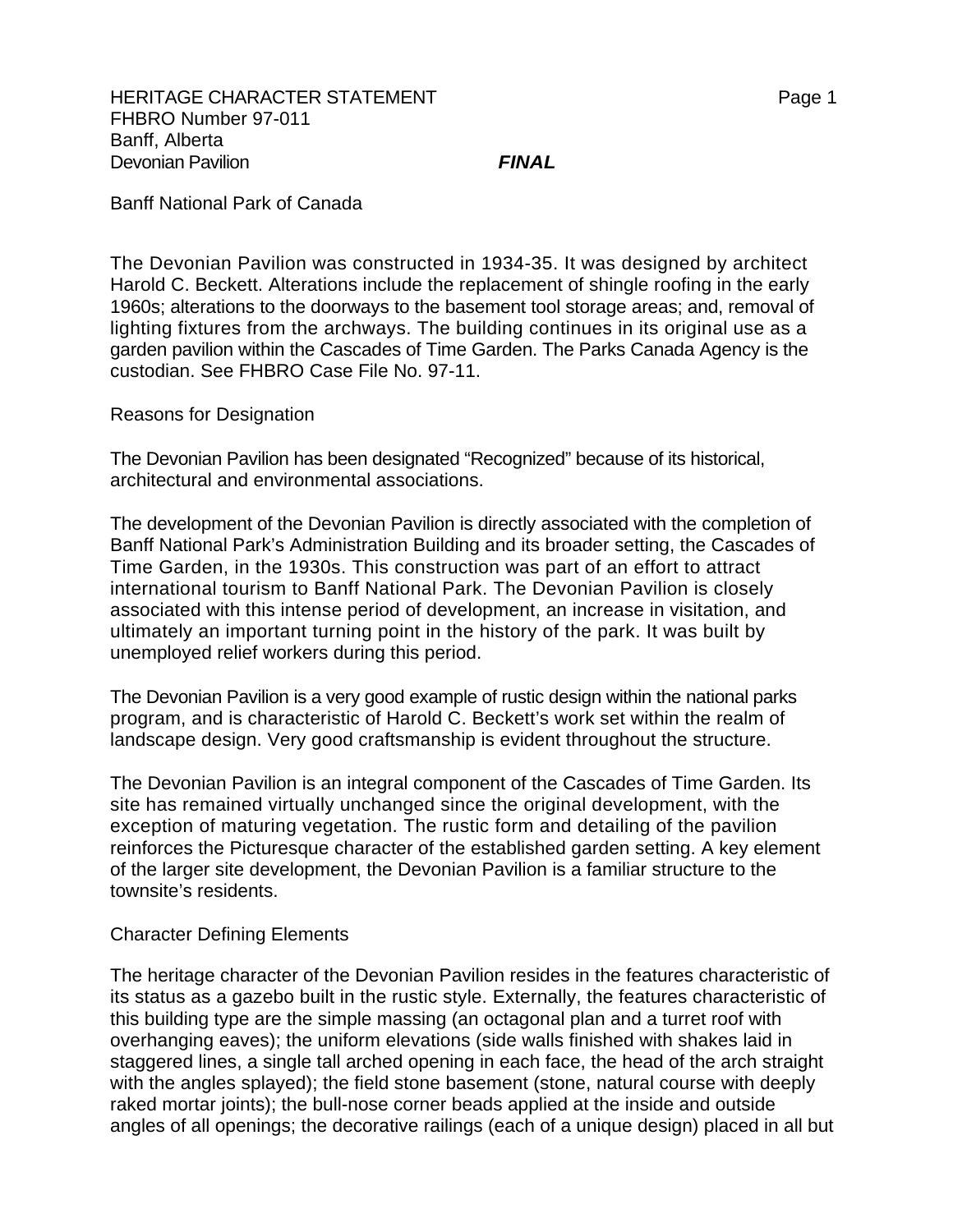Banff National Park of Canada

The Devonian Pavilion was constructed in 1934-35. It was designed by architect Harold C. Beckett. Alterations include the replacement of shingle roofing in the early 1960s; alterations to the doorways to the basement tool storage areas; and, removal of lighting fixtures from the archways. The building continues in its original use as a garden pavilion within the Cascades of Time Garden. The Parks Canada Agency is the custodian. See FHBRO Case File No. 97-11.

Reasons for Designation

The Devonian Pavilion has been designated "Recognized" because of its historical, architectural and environmental associations.

The development of the Devonian Pavilion is directly associated with the completion of Banff National Park's Administration Building and its broader setting, the Cascades of Time Garden, in the 1930s. This construction was part of an effort to attract international tourism to Banff National Park. The Devonian Pavilion is closely associated with this intense period of development, an increase in visitation, and ultimately an important turning point in the history of the park. It was built by unemployed relief workers during this period.

The Devonian Pavilion is a very good example of rustic design within the national parks program, and is characteristic of Harold C. Beckett's work set within the realm of landscape design. Very good craftsmanship is evident throughout the structure.

The Devonian Pavilion is an integral component of the Cascades of Time Garden. Its site has remained virtually unchanged since the original development, with the exception of maturing vegetation. The rustic form and detailing of the pavilion reinforces the Picturesque character of the established garden setting. A key element of the larger site development, the Devonian Pavilion is a familiar structure to the townsite's residents.

## Character Defining Elements

The heritage character of the Devonian Pavilion resides in the features characteristic of its status as a gazebo built in the rustic style. Externally, the features characteristic of this building type are the simple massing (an octagonal plan and a turret roof with overhanging eaves); the uniform elevations (side walls finished with shakes laid in staggered lines, a single tall arched opening in each face, the head of the arch straight with the angles splayed); the field stone basement (stone, natural course with deeply raked mortar joints); the bull-nose corner beads applied at the inside and outside angles of all openings; the decorative railings (each of a unique design) placed in all but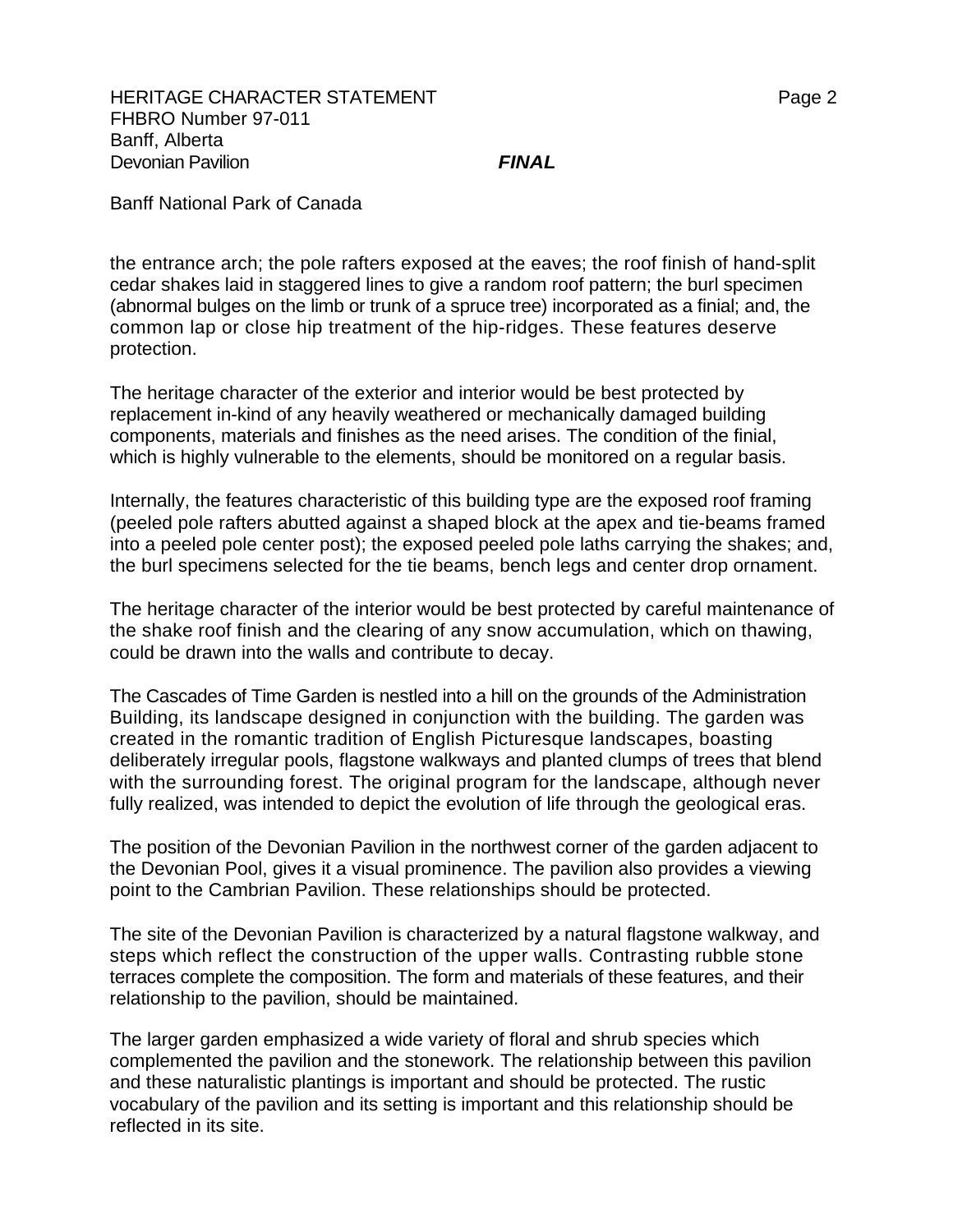HERITAGE CHARACTER STATEMENT FRAGGERY AND THE Page 2 FHBRO Number 97-011 Banff, Alberta Devonian Pavilion *FINAL*

Banff National Park of Canada

the entrance arch; the pole rafters exposed at the eaves; the roof finish of hand-split cedar shakes laid in staggered lines to give a random roof pattern; the burl specimen (abnormal bulges on the limb or trunk of a spruce tree) incorporated as a finial; and, the common lap or close hip treatment of the hip-ridges. These features deserve protection.

The heritage character of the exterior and interior would be best protected by replacement in-kind of any heavily weathered or mechanically damaged building components, materials and finishes as the need arises. The condition of the finial, which is highly vulnerable to the elements, should be monitored on a regular basis.

Internally, the features characteristic of this building type are the exposed roof framing (peeled pole rafters abutted against a shaped block at the apex and tie-beams framed into a peeled pole center post); the exposed peeled pole laths carrying the shakes; and, the burl specimens selected for the tie beams, bench legs and center drop ornament.

The heritage character of the interior would be best protected by careful maintenance of the shake roof finish and the clearing of any snow accumulation, which on thawing, could be drawn into the walls and contribute to decay.

The Cascades of Time Garden is nestled into a hill on the grounds of the Administration Building, its landscape designed in conjunction with the building. The garden was created in the romantic tradition of English Picturesque landscapes, boasting deliberately irregular pools, flagstone walkways and planted clumps of trees that blend with the surrounding forest. The original program for the landscape, although never fully realized, was intended to depict the evolution of life through the geological eras.

The position of the Devonian Pavilion in the northwest corner of the garden adjacent to the Devonian Pool, gives it a visual prominence. The pavilion also provides a viewing point to the Cambrian Pavilion. These relationships should be protected.

The site of the Devonian Pavilion is characterized by a natural flagstone walkway, and steps which reflect the construction of the upper walls. Contrasting rubble stone terraces complete the composition. The form and materials of these features, and their relationship to the pavilion, should be maintained.

The larger garden emphasized a wide variety of floral and shrub species which complemented the pavilion and the stonework. The relationship between this pavilion and these naturalistic plantings is important and should be protected. The rustic vocabulary of the pavilion and its setting is important and this relationship should be reflected in its site.